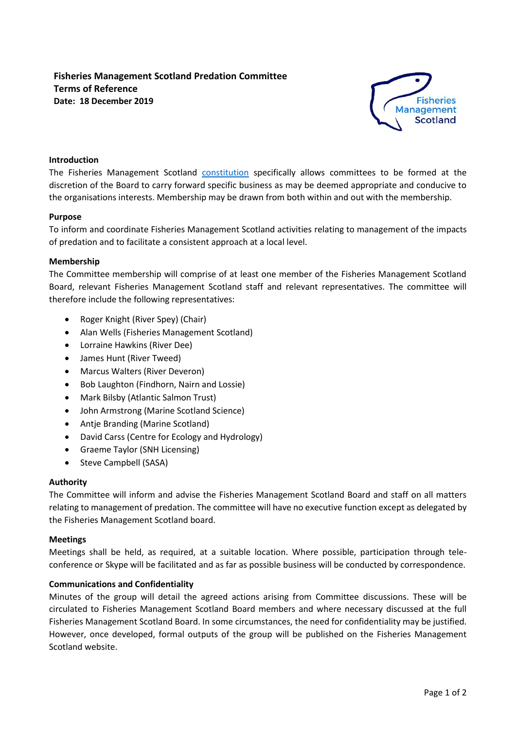# **Fisheries Management Scotland Predation Committee Terms of Reference Date: 18 December 2019**



# **Introduction**

The Fisheries Management Scotland [constitution](http://fms.scot/wp-content/uploads/2018/05/180430-FMS-articles-1.pdf) specifically allows committees to be formed at the discretion of the Board to carry forward specific business as may be deemed appropriate and conducive to the organisations interests. Membership may be drawn from both within and out with the membership.

#### **Purpose**

To inform and coordinate Fisheries Management Scotland activities relating to management of the impacts of predation and to facilitate a consistent approach at a local level.

#### **Membership**

The Committee membership will comprise of at least one member of the Fisheries Management Scotland Board, relevant Fisheries Management Scotland staff and relevant representatives. The committee will therefore include the following representatives:

- Roger Knight (River Spey) (Chair)
- Alan Wells (Fisheries Management Scotland)
- Lorraine Hawkins (River Dee)
- James Hunt (River Tweed)
- Marcus Walters (River Deveron)
- Bob Laughton (Findhorn, Nairn and Lossie)
- Mark Bilsby (Atlantic Salmon Trust)
- John Armstrong (Marine Scotland Science)
- Antje Branding (Marine Scotland)
- David Carss (Centre for Ecology and Hydrology)
- Graeme Taylor (SNH Licensing)
- Steve Campbell (SASA)

#### **Authority**

The Committee will inform and advise the Fisheries Management Scotland Board and staff on all matters relating to management of predation. The committee will have no executive function except as delegated by the Fisheries Management Scotland board.

#### **Meetings**

Meetings shall be held, as required, at a suitable location. Where possible, participation through teleconference or Skype will be facilitated and as far as possible business will be conducted by correspondence.

# **Communications and Confidentiality**

Minutes of the group will detail the agreed actions arising from Committee discussions. These will be circulated to Fisheries Management Scotland Board members and where necessary discussed at the full Fisheries Management Scotland Board. In some circumstances, the need for confidentiality may be justified. However, once developed, formal outputs of the group will be published on the Fisheries Management Scotland website.